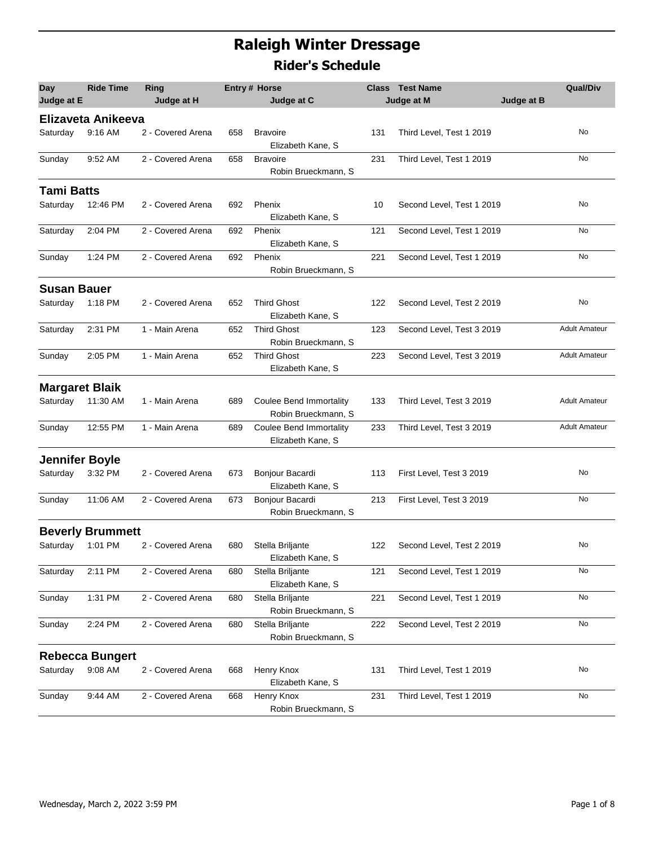## **Raleigh Winter Dressage Rider's Schedule**

| Day<br>Judge at E     | <b>Ride Time</b>        | Ring<br>Judge at H |     | <b>Entry# Horse</b><br>Judge at C                     |     | <b>Class</b> Test Name<br>Judge at M<br>Judge at B | <b>Qual/Div</b>      |
|-----------------------|-------------------------|--------------------|-----|-------------------------------------------------------|-----|----------------------------------------------------|----------------------|
|                       | Elizaveta Anikeeva      |                    |     |                                                       |     |                                                    |                      |
| Saturday              | 9:16 AM                 | 2 - Covered Arena  | 658 | <b>Bravoire</b><br>Elizabeth Kane, S                  | 131 | Third Level, Test 1 2019                           | No                   |
| Sunday                | 9:52 AM                 | 2 - Covered Arena  | 658 | <b>Bravoire</b><br>Robin Brueckmann, S                | 231 | Third Level, Test 1 2019                           | No                   |
| <b>Tami Batts</b>     |                         |                    |     |                                                       |     |                                                    |                      |
| Saturday              | 12:46 PM                | 2 - Covered Arena  | 692 | Phenix<br>Elizabeth Kane, S                           | 10  | Second Level, Test 1 2019                          | No                   |
| Saturday              | 2:04 PM                 | 2 - Covered Arena  | 692 | Phenix<br>Elizabeth Kane, S                           | 121 | Second Level, Test 1 2019                          | No                   |
| Sunday                | 1:24 PM                 | 2 - Covered Arena  | 692 | Phenix<br>Robin Brueckmann, S                         | 221 | Second Level, Test 1 2019                          | No                   |
| <b>Susan Bauer</b>    |                         |                    |     |                                                       |     |                                                    |                      |
| Saturday              | 1:18 PM                 | 2 - Covered Arena  | 652 | <b>Third Ghost</b><br>Elizabeth Kane, S               | 122 | Second Level, Test 2 2019                          | No                   |
| Saturday              | 2:31 PM                 | 1 - Main Arena     | 652 | <b>Third Ghost</b><br>Robin Brueckmann, S             | 123 | Second Level, Test 3 2019                          | <b>Adult Amateur</b> |
| Sunday                | 2:05 PM                 | 1 - Main Arena     | 652 | <b>Third Ghost</b><br>Elizabeth Kane, S               | 223 | Second Level, Test 3 2019                          | <b>Adult Amateur</b> |
| <b>Margaret Blaik</b> |                         |                    |     |                                                       |     |                                                    |                      |
| Saturday              | 11:30 AM                | 1 - Main Arena     | 689 | <b>Coulee Bend Immortality</b><br>Robin Brueckmann, S | 133 | Third Level, Test 3 2019                           | <b>Adult Amateur</b> |
| Sunday                | 12:55 PM                | 1 - Main Arena     | 689 | <b>Coulee Bend Immortality</b><br>Elizabeth Kane, S   | 233 | Third Level, Test 3 2019                           | <b>Adult Amateur</b> |
| <b>Jennifer Boyle</b> |                         |                    |     |                                                       |     |                                                    |                      |
| Saturday              | 3:32 PM                 | 2 - Covered Arena  | 673 | Bonjour Bacardi<br>Elizabeth Kane, S                  | 113 | First Level, Test 3 2019                           | No                   |
| Sunday                | 11:06 AM                | 2 - Covered Arena  | 673 | Bonjour Bacardi<br>Robin Brueckmann, S                | 213 | First Level, Test 3 2019                           | No                   |
|                       | <b>Beverly Brummett</b> |                    |     |                                                       |     |                                                    |                      |
| Saturday              | 1:01 PM                 | 2 - Covered Arena  | 680 | Stella Briljante<br>Elizabeth Kane, S                 | 122 | Second Level, Test 2 2019                          | No                   |
| Saturday              | 2:11 PM                 | 2 - Covered Arena  | 680 | Stella Briljante<br>Elizabeth Kane, S                 | 121 | Second Level, Test 1 2019                          | No                   |
| Sunday                | 1:31 PM                 | 2 - Covered Arena  | 680 | Stella Briljante<br>Robin Brueckmann, S               | 221 | Second Level, Test 1 2019                          | No                   |
| Sunday                | 2:24 PM                 | 2 - Covered Arena  | 680 | Stella Briljante<br>Robin Brueckmann, S               | 222 | Second Level, Test 2 2019                          | No                   |
|                       | <b>Rebecca Bungert</b>  |                    |     |                                                       |     |                                                    |                      |
| Saturday              | 9:08 AM                 | 2 - Covered Arena  | 668 | Henry Knox<br>Elizabeth Kane, S                       | 131 | Third Level, Test 1 2019                           | No                   |
| Sunday                | 9:44 AM                 | 2 - Covered Arena  | 668 | Henry Knox<br>Robin Brueckmann, S                     | 231 | Third Level, Test 1 2019                           | No                   |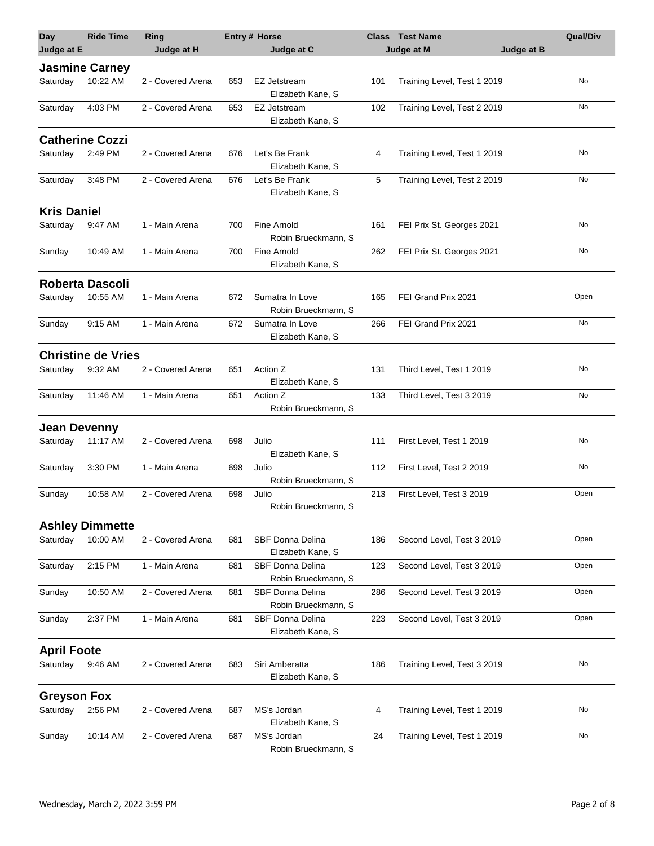| <b>Day</b>          | <b>Ride Time</b>          | Ring              |     | Entry # Horse                                  |     | <b>Class Test Name</b>      | <b>Qual/Div</b> |
|---------------------|---------------------------|-------------------|-----|------------------------------------------------|-----|-----------------------------|-----------------|
| Judge at E          |                           | Judge at H        |     | Judge at C                                     |     | Judge at M<br>Judge at B    |                 |
|                     | <b>Jasmine Carney</b>     |                   |     |                                                |     |                             |                 |
| Saturday            | 10:22 AM                  | 2 - Covered Arena | 653 | <b>EZ Jetstream</b><br>Elizabeth Kane, S       | 101 | Training Level, Test 1 2019 | No              |
| Saturday            | 4:03 PM                   | 2 - Covered Arena | 653 | EZ Jetstream<br>Elizabeth Kane, S              | 102 | Training Level, Test 2 2019 | No              |
|                     | <b>Catherine Cozzi</b>    |                   |     |                                                |     |                             |                 |
| Saturday            | 2:49 PM                   | 2 - Covered Arena | 676 | Let's Be Frank                                 | 4   | Training Level, Test 1 2019 | No              |
|                     |                           |                   |     | Elizabeth Kane, S                              |     |                             |                 |
| Saturday            | 3:48 PM                   | 2 - Covered Arena | 676 | Let's Be Frank<br>Elizabeth Kane, S            | 5   | Training Level, Test 2 2019 | No              |
| <b>Kris Daniel</b>  |                           |                   |     |                                                |     |                             |                 |
| Saturday            | 9:47 AM                   | 1 - Main Arena    | 700 | Fine Arnold<br>Robin Brueckmann, S             | 161 | FEI Prix St. Georges 2021   | No              |
| Sunday              | 10:49 AM                  | 1 - Main Arena    | 700 | Fine Arnold<br>Elizabeth Kane, S               | 262 | FEI Prix St. Georges 2021   | No              |
|                     | <b>Roberta Dascoli</b>    |                   |     |                                                |     |                             |                 |
| Saturday            | 10:55 AM                  | 1 - Main Arena    | 672 | Sumatra In Love<br>Robin Brueckmann, S         | 165 | FEI Grand Prix 2021         | Open            |
| Sunday              | 9:15 AM                   | 1 - Main Arena    | 672 | Sumatra In Love<br>Elizabeth Kane, S           | 266 | FEI Grand Prix 2021         | No              |
|                     | <b>Christine de Vries</b> |                   |     |                                                |     |                             |                 |
| Saturday            | 9:32 AM                   | 2 - Covered Arena | 651 | Action Z<br>Elizabeth Kane, S                  | 131 | Third Level, Test 1 2019    | No              |
| Saturday            | 11:46 AM                  | 1 - Main Arena    | 651 | Action Z<br>Robin Brueckmann, S                | 133 | Third Level, Test 3 2019    | No              |
| <b>Jean Devenny</b> |                           |                   |     |                                                |     |                             |                 |
| Saturday            | 11:17 AM                  | 2 - Covered Arena | 698 | Julio<br>Elizabeth Kane, S                     | 111 | First Level, Test 1 2019    | No              |
| Saturday            | 3:30 PM                   | 1 - Main Arena    | 698 | Julio<br>Robin Brueckmann, S                   | 112 | First Level, Test 2 2019    | No              |
| Sunday              | 10:58 AM                  | 2 - Covered Arena | 698 | Julio<br>Robin Brueckmann, S                   | 213 | First Level, Test 3 2019    | Open            |
|                     | <b>Ashley Dimmette</b>    |                   |     |                                                |     |                             |                 |
| Saturday            | 10:00 AM                  | 2 - Covered Arena | 681 | SBF Donna Delina<br>Elizabeth Kane, S          | 186 | Second Level, Test 3 2019   | Open            |
| Saturday            | 2:15 PM                   | 1 - Main Arena    | 681 | <b>SBF Donna Delina</b><br>Robin Brueckmann, S | 123 | Second Level, Test 3 2019   | Open            |
| Sunday              | 10:50 AM                  | 2 - Covered Arena | 681 | SBF Donna Delina<br>Robin Brueckmann, S        | 286 | Second Level, Test 3 2019   | Open            |
| Sunday              | 2:37 PM                   | 1 - Main Arena    | 681 | <b>SBF Donna Delina</b><br>Elizabeth Kane, S   | 223 | Second Level, Test 3 2019   | Open            |
| <b>April Foote</b>  |                           |                   |     |                                                |     |                             |                 |
| Saturday            | 9:46 AM                   | 2 - Covered Arena | 683 | Siri Amberatta<br>Elizabeth Kane, S            | 186 | Training Level, Test 3 2019 | No              |
| <b>Greyson Fox</b>  |                           |                   |     |                                                |     |                             |                 |
| Saturday            | 2:56 PM                   | 2 - Covered Arena | 687 | MS's Jordan<br>Elizabeth Kane, S               | 4   | Training Level, Test 1 2019 | No              |
| Sunday              | 10:14 AM                  | 2 - Covered Arena | 687 | MS's Jordan<br>Robin Brueckmann, S             | 24  | Training Level, Test 1 2019 | No              |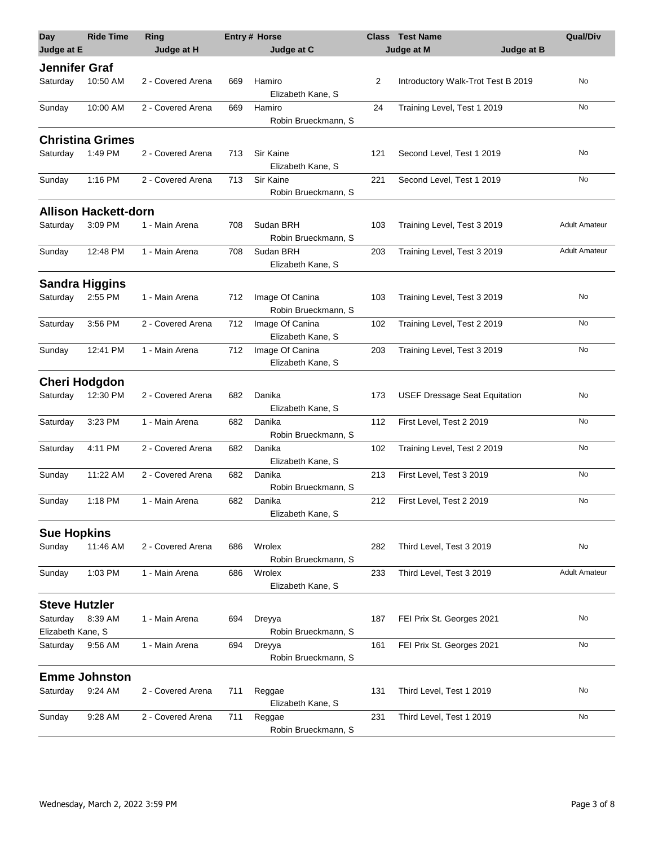| <b>Day</b>                    | <b>Ride Time</b>            | Ring              |     | <b>Entry# Horse</b>                    |     | <b>Class</b> Test Name               | <b>Qual/Div</b>      |
|-------------------------------|-----------------------------|-------------------|-----|----------------------------------------|-----|--------------------------------------|----------------------|
| Judge at E                    |                             | Judge at H        |     | Judge at C                             |     | Judge at M<br>Judge at B             |                      |
| <b>Jennifer Graf</b>          |                             |                   |     |                                        |     |                                      |                      |
| Saturday                      | 10:50 AM                    | 2 - Covered Arena | 669 | Hamiro<br>Elizabeth Kane, S            | 2   | Introductory Walk-Trot Test B 2019   | No                   |
| Sunday                        | 10:00 AM                    | 2 - Covered Arena | 669 | Hamiro<br>Robin Brueckmann, S          | 24  | Training Level, Test 1 2019          | No                   |
|                               | <b>Christina Grimes</b>     |                   |     |                                        |     |                                      |                      |
| Saturday                      | 1:49 PM                     | 2 - Covered Arena | 713 | Sir Kaine<br>Elizabeth Kane, S         | 121 | Second Level, Test 1 2019            | No                   |
| Sunday                        | 1:16 PM                     | 2 - Covered Arena | 713 | Sir Kaine<br>Robin Brueckmann, S       | 221 | Second Level, Test 1 2019            | No                   |
|                               | <b>Allison Hackett-dorn</b> |                   |     |                                        |     |                                      |                      |
| Saturday                      | 3:09 PM                     | 1 - Main Arena    | 708 | Sudan BRH<br>Robin Brueckmann, S       | 103 | Training Level, Test 3 2019          | <b>Adult Amateur</b> |
| Sunday                        | 12:48 PM                    | 1 - Main Arena    | 708 | Sudan BRH<br>Elizabeth Kane, S         | 203 | Training Level, Test 3 2019          | <b>Adult Amateur</b> |
| <b>Sandra Higgins</b>         |                             |                   |     |                                        |     |                                      |                      |
| Saturday                      | 2:55 PM                     | 1 - Main Arena    | 712 | Image Of Canina<br>Robin Brueckmann, S | 103 | Training Level, Test 3 2019          | No                   |
| Saturday                      | 3:56 PM                     | 2 - Covered Arena | 712 | Image Of Canina<br>Elizabeth Kane, S   | 102 | Training Level, Test 2 2019          | No                   |
| Sunday                        | 12:41 PM                    | 1 - Main Arena    | 712 | Image Of Canina<br>Elizabeth Kane, S   | 203 | Training Level, Test 3 2019          | No                   |
| <b>Cheri Hodgdon</b>          |                             |                   |     |                                        |     |                                      |                      |
| Saturday                      | 12:30 PM                    | 2 - Covered Arena | 682 | Danika<br>Elizabeth Kane, S            | 173 | <b>USEF Dressage Seat Equitation</b> | No                   |
| Saturday                      | 3:23 PM                     | 1 - Main Arena    | 682 | Danika<br>Robin Brueckmann, S          | 112 | First Level, Test 2 2019             | No                   |
| Saturday                      | 4:11 PM                     | 2 - Covered Arena | 682 | Danika<br>Elizabeth Kane, S            | 102 | Training Level, Test 2 2019          | No                   |
| Sunday                        | 11:22 AM                    | 2 - Covered Arena | 682 | Danika<br>Robin Brueckmann, S          | 213 | First Level, Test 3 2019             | No                   |
| Sunday                        | 1:18 PM                     | 1 - Main Arena    | 682 | Danika<br>Elizabeth Kane, S            | 212 | First Level, Test 2 2019             | No                   |
| <b>Sue Hopkins</b>            |                             |                   |     |                                        |     |                                      |                      |
| Sunday                        | 11:46 AM                    | 2 - Covered Arena | 686 | Wrolex<br>Robin Brueckmann, S          | 282 | Third Level, Test 3 2019             | No                   |
| Sunday                        | 1:03 PM                     | 1 - Main Arena    | 686 | Wrolex<br>Elizabeth Kane, S            | 233 | Third Level, Test 3 2019             | <b>Adult Amateur</b> |
| <b>Steve Hutzler</b>          |                             |                   |     |                                        |     |                                      |                      |
| Saturday<br>Elizabeth Kane, S | 8:39 AM                     | 1 - Main Arena    | 694 | Dreyya<br>Robin Brueckmann, S          | 187 | FEI Prix St. Georges 2021            | No                   |
| Saturday                      | 9:56 AM                     | 1 - Main Arena    | 694 | Dreyya<br>Robin Brueckmann, S          | 161 | FEI Prix St. Georges 2021            | No                   |
|                               | <b>Emme Johnston</b>        |                   |     |                                        |     |                                      |                      |
| Saturday                      | 9:24 AM                     | 2 - Covered Arena | 711 | Reggae<br>Elizabeth Kane, S            | 131 | Third Level, Test 1 2019             | No                   |
| Sunday                        | 9:28 AM                     | 2 - Covered Arena | 711 | Reggae<br>Robin Brueckmann, S          | 231 | Third Level, Test 1 2019             | No                   |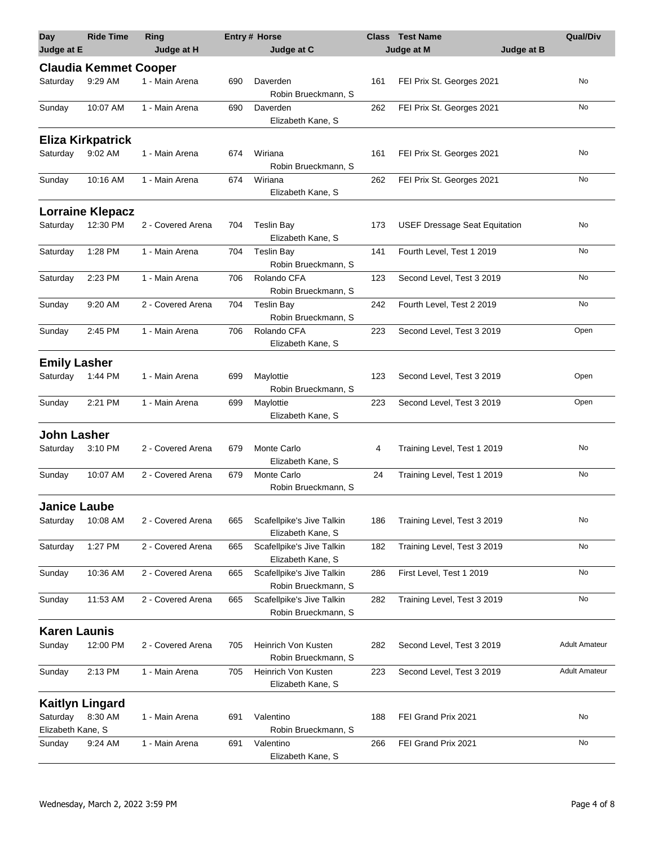| Day                 | <b>Ride Time</b>             | Ring              |     | <b>Entry# Horse</b>                              |     | <b>Class Test Name</b>               | <b>Qual/Div</b>      |
|---------------------|------------------------------|-------------------|-----|--------------------------------------------------|-----|--------------------------------------|----------------------|
| Judge at E          |                              | Judge at H        |     | Judge at C                                       |     | Judge at M<br>Judge at B             |                      |
|                     | <b>Claudia Kemmet Cooper</b> |                   |     |                                                  |     |                                      |                      |
| Saturday            | 9:29 AM                      | 1 - Main Arena    | 690 | Daverden<br>Robin Brueckmann, S                  | 161 | FEI Prix St. Georges 2021            | No                   |
| Sunday              | 10:07 AM                     | 1 - Main Arena    | 690 | Daverden<br>Elizabeth Kane, S                    | 262 | FEI Prix St. Georges 2021            | No                   |
|                     | <b>Eliza Kirkpatrick</b>     |                   |     |                                                  |     |                                      |                      |
| Saturday            | 9:02 AM                      | 1 - Main Arena    | 674 | Wiriana<br>Robin Brueckmann, S                   | 161 | FEI Prix St. Georges 2021            | No                   |
| Sunday              | 10:16 AM                     | 1 - Main Arena    | 674 | Wiriana<br>Elizabeth Kane, S                     | 262 | FEI Prix St. Georges 2021            | No                   |
|                     | <b>Lorraine Klepacz</b>      |                   |     |                                                  |     |                                      |                      |
| Saturday            | 12:30 PM                     | 2 - Covered Arena | 704 | <b>Teslin Bay</b><br>Elizabeth Kane, S           | 173 | <b>USEF Dressage Seat Equitation</b> | No                   |
| Saturday            | 1:28 PM                      | 1 - Main Arena    | 704 | <b>Teslin Bay</b><br>Robin Brueckmann, S         | 141 | Fourth Level, Test 1 2019            | No                   |
| Saturday            | 2:23 PM                      | 1 - Main Arena    | 706 | Rolando CFA<br>Robin Brueckmann, S               | 123 | Second Level, Test 3 2019            | No                   |
| Sunday              | 9:20 AM                      | 2 - Covered Arena | 704 | <b>Teslin Bay</b><br>Robin Brueckmann, S         | 242 | Fourth Level, Test 2 2019            | No                   |
| Sunday              | 2:45 PM                      | 1 - Main Arena    | 706 | Rolando CFA<br>Elizabeth Kane, S                 | 223 | Second Level, Test 3 2019            | Open                 |
| <b>Emily Lasher</b> |                              |                   |     |                                                  |     |                                      |                      |
| Saturday            | 1:44 PM                      | 1 - Main Arena    | 699 | Maylottie<br>Robin Brueckmann, S                 | 123 | Second Level, Test 3 2019            | Open                 |
| Sunday              | 2:21 PM                      | 1 - Main Arena    | 699 | Maylottie<br>Elizabeth Kane, S                   | 223 | Second Level, Test 3 2019            | Open                 |
| <b>John Lasher</b>  |                              |                   |     |                                                  |     |                                      |                      |
| Saturday            | 3:10 PM                      | 2 - Covered Arena | 679 | Monte Carlo<br>Elizabeth Kane, S                 | 4   | Training Level, Test 1 2019          | No                   |
| Sunday              | 10:07 AM                     | 2 - Covered Arena | 679 | Monte Carlo<br>Robin Brueckmann, S               | 24  | Training Level, Test 1 2019          | No                   |
| <b>Janice Laube</b> |                              |                   |     |                                                  |     |                                      |                      |
| Saturday            | 10:08 AM                     | 2 - Covered Arena | 665 | Scafellpike's Jive Talkin<br>Elizabeth Kane, S   | 186 | Training Level, Test 3 2019          | No                   |
| Saturday            | 1:27 PM                      | 2 - Covered Arena | 665 | Scafellpike's Jive Talkin<br>Elizabeth Kane, S   | 182 | Training Level, Test 3 2019          | No                   |
| Sunday              | 10:36 AM                     | 2 - Covered Arena | 665 | Scafellpike's Jive Talkin<br>Robin Brueckmann, S | 286 | First Level, Test 1 2019             | No                   |
| Sunday              | 11:53 AM                     | 2 - Covered Arena | 665 | Scafellpike's Jive Talkin<br>Robin Brueckmann, S | 282 | Training Level, Test 3 2019          | No                   |
| <b>Karen Launis</b> |                              |                   |     |                                                  |     |                                      |                      |
| Sunday              | 12:00 PM                     | 2 - Covered Arena | 705 | Heinrich Von Kusten                              | 282 | Second Level, Test 3 2019            | <b>Adult Amateur</b> |
|                     |                              |                   |     | Robin Brueckmann, S                              |     |                                      |                      |
| Sunday              | 2:13 PM                      | 1 - Main Arena    | 705 | Heinrich Von Kusten<br>Elizabeth Kane, S         | 223 | Second Level, Test 3 2019            | <b>Adult Amateur</b> |
|                     | <b>Kaitlyn Lingard</b>       |                   |     |                                                  |     |                                      |                      |
| Saturday            | 8:30 AM                      | 1 - Main Arena    | 691 | Valentino                                        | 188 | FEI Grand Prix 2021                  | No                   |
| Elizabeth Kane, S   |                              |                   |     | Robin Brueckmann, S                              |     |                                      |                      |
| Sunday              | 9:24 AM                      | 1 - Main Arena    | 691 | Valentino<br>Elizabeth Kane, S                   | 266 | FEI Grand Prix 2021                  | No                   |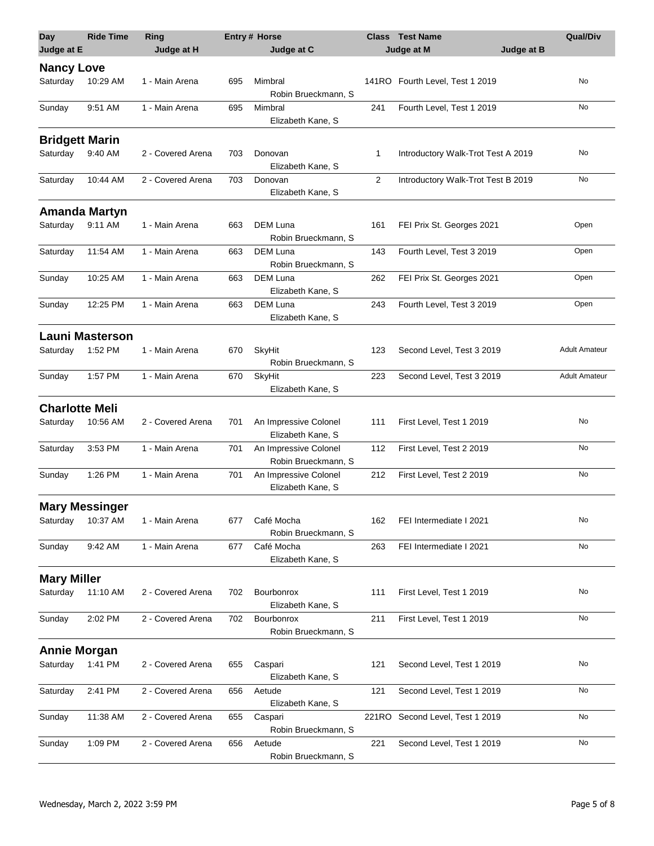| <b>Day</b>            | <b>Ride Time</b>       | Ring              |     | Entry # Horse                                |                | <b>Class</b> Test Name             | <b>Qual/Div</b>      |
|-----------------------|------------------------|-------------------|-----|----------------------------------------------|----------------|------------------------------------|----------------------|
| Judge at E            |                        | Judge at H        |     | Judge at C                                   |                | Judge at M<br>Judge at B           |                      |
| <b>Nancy Love</b>     |                        |                   |     |                                              |                |                                    |                      |
| Saturday              | 10:29 AM               | 1 - Main Arena    | 695 | Mimbral<br>Robin Brueckmann, S               |                | 141RO Fourth Level, Test 1 2019    | No                   |
| Sunday                | 9:51 AM                | 1 - Main Arena    | 695 | Mimbral<br>Elizabeth Kane, S                 | 241            | Fourth Level, Test 1 2019          | No                   |
| <b>Bridgett Marin</b> |                        |                   |     |                                              |                |                                    |                      |
| Saturday              | 9:40 AM                | 2 - Covered Arena | 703 | Donovan<br>Elizabeth Kane, S                 | 1              | Introductory Walk-Trot Test A 2019 | No                   |
| Saturday              | 10:44 AM               | 2 - Covered Arena | 703 | Donovan<br>Elizabeth Kane, S                 | $\overline{2}$ | Introductory Walk-Trot Test B 2019 | No                   |
|                       | <b>Amanda Martyn</b>   |                   |     |                                              |                |                                    |                      |
| Saturday              | 9:11 AM                | 1 - Main Arena    | 663 | <b>DEM Luna</b><br>Robin Brueckmann, S       | 161            | FEI Prix St. Georges 2021          | Open                 |
| Saturday              | 11:54 AM               | 1 - Main Arena    | 663 | <b>DEM Luna</b><br>Robin Brueckmann, S       | 143            | Fourth Level, Test 3 2019          | Open                 |
| Sunday                | 10:25 AM               | 1 - Main Arena    | 663 | <b>DEM Luna</b><br>Elizabeth Kane, S         | 262            | FEI Prix St. Georges 2021          | Open                 |
| Sunday                | 12:25 PM               | 1 - Main Arena    | 663 | DEM Luna<br>Elizabeth Kane, S                | 243            | Fourth Level, Test 3 2019          | Open                 |
|                       | <b>Launi Masterson</b> |                   |     |                                              |                |                                    |                      |
| Saturday              | 1:52 PM                | 1 - Main Arena    | 670 | SkyHit<br>Robin Brueckmann, S                | 123            | Second Level, Test 3 2019          | <b>Adult Amateur</b> |
| Sunday                | 1:57 PM                | 1 - Main Arena    | 670 | SkyHit<br>Elizabeth Kane, S                  | 223            | Second Level, Test 3 2019          | <b>Adult Amateur</b> |
| <b>Charlotte Meli</b> |                        |                   |     |                                              |                |                                    |                      |
| Saturday              | 10:56 AM               | 2 - Covered Arena | 701 | An Impressive Colonel<br>Elizabeth Kane, S   | 111            | First Level, Test 1 2019           | No                   |
| Saturday              | 3:53 PM                | 1 - Main Arena    | 701 | An Impressive Colonel<br>Robin Brueckmann, S | 112            | First Level, Test 2 2019           | No                   |
| Sunday                | 1:26 PM                | 1 - Main Arena    | 701 | An Impressive Colonel<br>Elizabeth Kane, S   | 212            | First Level, Test 2 2019           | No                   |
|                       | <b>Mary Messinger</b>  |                   |     |                                              |                |                                    |                      |
| Saturday              | 10:37 AM               | 1 - Main Arena    | 677 | Café Mocha<br>Robin Brueckmann, S            | 162            | FEI Intermediate I 2021            | No                   |
| Sunday                | 9:42 AM                | 1 - Main Arena    | 677 | Café Mocha<br>Elizabeth Kane, S              | 263            | FEI Intermediate I 2021            | No                   |
| <b>Mary Miller</b>    |                        |                   |     |                                              |                |                                    |                      |
| Saturday              | 11:10 AM               | 2 - Covered Arena | 702 | Bourbonrox<br>Elizabeth Kane, S              | 111            | First Level, Test 1 2019           | No                   |
| Sunday                | 2:02 PM                | 2 - Covered Arena | 702 | <b>Bourbonrox</b><br>Robin Brueckmann, S     | 211            | First Level, Test 1 2019           | No                   |
| <b>Annie Morgan</b>   |                        |                   |     |                                              |                |                                    |                      |
| Saturday              | 1:41 PM                | 2 - Covered Arena | 655 | Caspari<br>Elizabeth Kane, S                 | 121            | Second Level, Test 1 2019          | No                   |
| Saturday              | 2:41 PM                | 2 - Covered Arena | 656 | Aetude<br>Elizabeth Kane, S                  | 121            | Second Level, Test 1 2019          | No                   |
| Sunday                | 11:38 AM               | 2 - Covered Arena | 655 | Caspari<br>Robin Brueckmann, S               |                | 221RO Second Level, Test 1 2019    | No                   |
| Sunday                | 1:09 PM                | 2 - Covered Arena | 656 | Aetude<br>Robin Brueckmann, S                | 221            | Second Level, Test 1 2019          | No                   |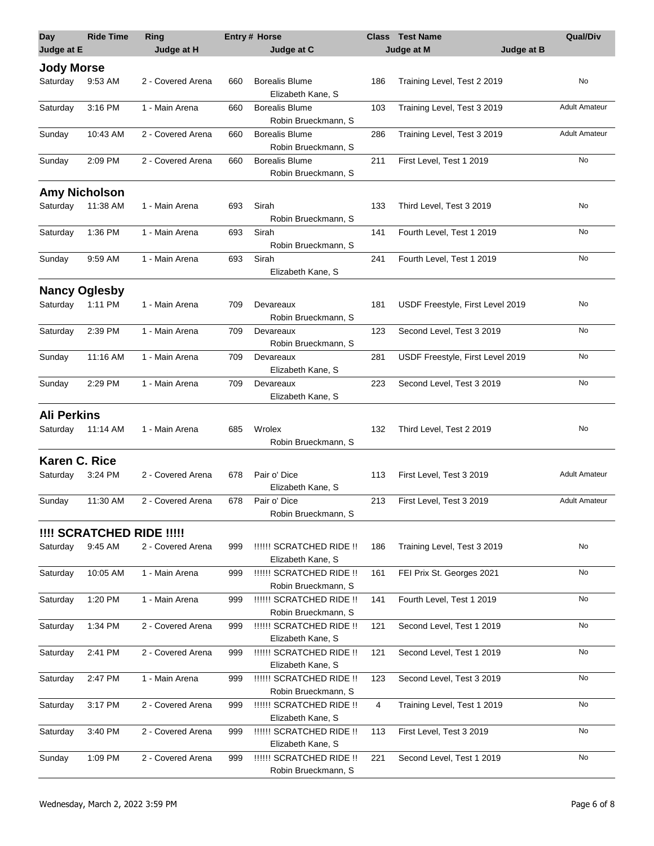| <b>Day</b><br>Judge at E | <b>Ride Time</b>          | Ring<br>Judge at H |     | <b>Entry# Horse</b><br>Judge at C               | Class | <b>Test Name</b><br>Judge at M<br>Judge at B | <b>Qual/Div</b>      |
|--------------------------|---------------------------|--------------------|-----|-------------------------------------------------|-------|----------------------------------------------|----------------------|
| <b>Jody Morse</b>        |                           |                    |     |                                                 |       |                                              |                      |
| Saturday                 | 9:53 AM                   | 2 - Covered Arena  | 660 | <b>Borealis Blume</b><br>Elizabeth Kane, S      | 186   | Training Level, Test 2 2019                  | No                   |
| Saturday                 | 3:16 PM                   | 1 - Main Arena     | 660 | <b>Borealis Blume</b><br>Robin Brueckmann, S    | 103   | Training Level, Test 3 2019                  | <b>Adult Amateur</b> |
| Sunday                   | 10:43 AM                  | 2 - Covered Arena  | 660 | <b>Borealis Blume</b><br>Robin Brueckmann, S    | 286   | Training Level, Test 3 2019                  | <b>Adult Amateur</b> |
| Sunday                   | 2:09 PM                   | 2 - Covered Arena  | 660 | <b>Borealis Blume</b><br>Robin Brueckmann, S    | 211   | First Level, Test 1 2019                     | No                   |
|                          | <b>Amy Nicholson</b>      |                    |     |                                                 |       |                                              |                      |
| Saturday                 | 11:38 AM                  | 1 - Main Arena     | 693 | Sirah<br>Robin Brueckmann, S                    | 133   | Third Level, Test 3 2019                     | No                   |
| Saturday                 | 1:36 PM                   | 1 - Main Arena     | 693 | Sirah<br>Robin Brueckmann, S                    | 141   | Fourth Level, Test 1 2019                    | No                   |
| Sunday                   | 9:59 AM                   | 1 - Main Arena     | 693 | Sirah<br>Elizabeth Kane, S                      | 241   | Fourth Level, Test 1 2019                    | No                   |
|                          | <b>Nancy Oglesby</b>      |                    |     |                                                 |       |                                              |                      |
| Saturday                 | 1:11 PM                   | 1 - Main Arena     | 709 | Devareaux<br>Robin Brueckmann, S                | 181   | USDF Freestyle, First Level 2019             | No                   |
| Saturday                 | 2:39 PM                   | 1 - Main Arena     | 709 | Devareaux<br>Robin Brueckmann, S                | 123   | Second Level, Test 3 2019                    | No                   |
| Sunday                   | 11:16 AM                  | 1 - Main Arena     | 709 | Devareaux<br>Elizabeth Kane, S                  | 281   | USDF Freestyle, First Level 2019             | No                   |
| Sunday                   | 2:29 PM                   | 1 - Main Arena     | 709 | Devareaux<br>Elizabeth Kane, S                  | 223   | Second Level, Test 3 2019                    | No                   |
| <b>Ali Perkins</b>       |                           |                    |     |                                                 |       |                                              |                      |
| Saturday                 | 11:14 AM                  | 1 - Main Arena     | 685 | Wrolex<br>Robin Brueckmann, S                   | 132   | Third Level, Test 2 2019                     | No                   |
| <b>Karen C. Rice</b>     |                           |                    |     |                                                 |       |                                              |                      |
| Saturday                 | 3:24 PM                   | 2 - Covered Arena  | 678 | Pair o' Dice<br>Elizabeth Kane, S               | 113   | First Level, Test 3 2019                     | <b>Adult Amateur</b> |
| Sunday                   | 11:30 AM                  | 2 - Covered Arena  | 678 | Pair o' Dice<br>Robin Brueckmann, S             | 213   | First Level, Test 3 2019                     | <b>Adult Amateur</b> |
|                          | !!!! SCRATCHED RIDE !!!!! |                    |     |                                                 |       |                                              |                      |
| Saturday                 | 9:45 AM                   | 2 - Covered Arena  | 999 | !!!!!! SCRATCHED RIDE !!<br>Elizabeth Kane, S   | 186   | Training Level, Test 3 2019                  | No                   |
| Saturday                 | 10:05 AM                  | 1 - Main Arena     | 999 | !!!!!! SCRATCHED RIDE !!<br>Robin Brueckmann, S | 161   | FEI Prix St. Georges 2021                    | No                   |
| Saturday                 | 1:20 PM                   | 1 - Main Arena     | 999 | !!!!!! SCRATCHED RIDE !!<br>Robin Brueckmann, S | 141   | Fourth Level, Test 1 2019                    | No                   |
| Saturday                 | 1:34 PM                   | 2 - Covered Arena  | 999 | !!!!!! SCRATCHED RIDE !!<br>Elizabeth Kane, S   | 121   | Second Level, Test 1 2019                    | No                   |
| Saturday                 | 2:41 PM                   | 2 - Covered Arena  | 999 | !!!!!! SCRATCHED RIDE !!<br>Elizabeth Kane, S   | 121   | Second Level, Test 1 2019                    | No                   |
| Saturday                 | 2:47 PM                   | 1 - Main Arena     | 999 | !!!!!! SCRATCHED RIDE !!<br>Robin Brueckmann, S | 123   | Second Level, Test 3 2019                    | No                   |
| Saturday                 | 3:17 PM                   | 2 - Covered Arena  | 999 | !!!!!! SCRATCHED RIDE !!<br>Elizabeth Kane, S   | 4     | Training Level, Test 1 2019                  | No                   |
| Saturday                 | 3:40 PM                   | 2 - Covered Arena  | 999 | !!!!!! SCRATCHED RIDE !!<br>Elizabeth Kane, S   | 113   | First Level, Test 3 2019                     | No                   |
| Sunday                   | 1:09 PM                   | 2 - Covered Arena  | 999 | !!!!!! SCRATCHED RIDE !!<br>Robin Brueckmann, S | 221   | Second Level, Test 1 2019                    | No                   |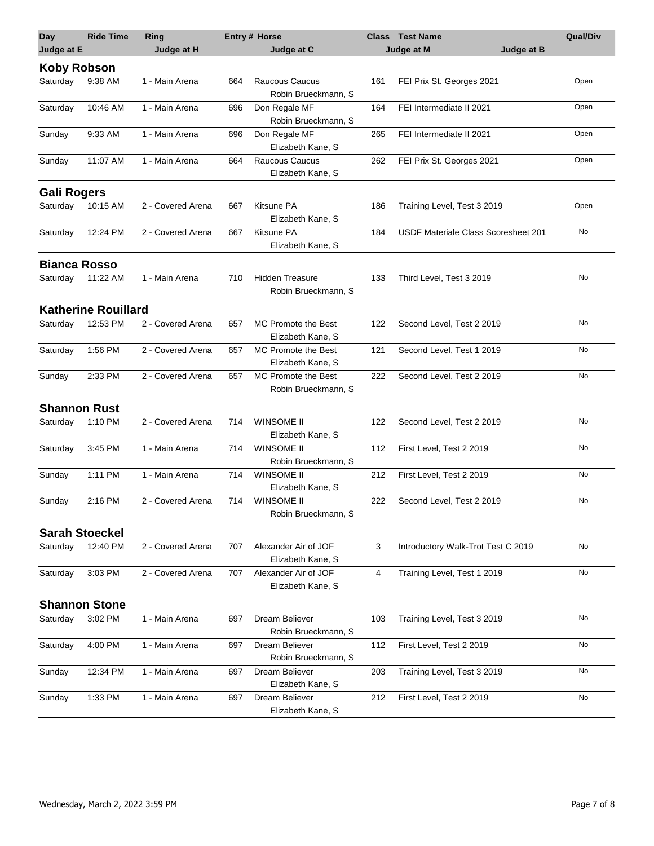| <b>Day</b>          | <b>Ride Time</b>           | Ring              |     | Entry # Horse                                 | <b>Class</b> | <b>Test Name</b>                    | Qual/Div |
|---------------------|----------------------------|-------------------|-----|-----------------------------------------------|--------------|-------------------------------------|----------|
| Judge at E          |                            | Judge at H        |     | Judge at C                                    |              | Judge at M<br>Judge at B            |          |
| <b>Koby Robson</b>  |                            |                   |     |                                               |              |                                     |          |
| Saturday            | 9:38 AM                    | 1 - Main Arena    | 664 | Raucous Caucus<br>Robin Brueckmann, S         | 161          | FEI Prix St. Georges 2021           | Open     |
| Saturday            | 10:46 AM                   | 1 - Main Arena    | 696 | Don Regale MF<br>Robin Brueckmann, S          | 164          | FEI Intermediate II 2021            | Open     |
| Sunday              | 9:33 AM                    | 1 - Main Arena    | 696 | Don Regale MF<br>Elizabeth Kane, S            | 265          | FEI Intermediate II 2021            | Open     |
| Sunday              | 11:07 AM                   | 1 - Main Arena    | 664 | Raucous Caucus<br>Elizabeth Kane, S           | 262          | FEI Prix St. Georges 2021           | Open     |
| <b>Gali Rogers</b>  |                            |                   |     |                                               |              |                                     |          |
| Saturday            | 10:15 AM                   | 2 - Covered Arena | 667 | Kitsune PA<br>Elizabeth Kane, S               | 186          | Training Level, Test 3 2019         | Open     |
| Saturday            | 12:24 PM                   | 2 - Covered Arena | 667 | Kitsune PA<br>Elizabeth Kane, S               | 184          | USDF Materiale Class Scoresheet 201 | No       |
| <b>Bianca Rosso</b> |                            |                   |     |                                               |              |                                     |          |
| Saturday            | 11:22 AM                   | 1 - Main Arena    | 710 | <b>Hidden Treasure</b><br>Robin Brueckmann, S | 133          | Third Level, Test 3 2019            | No       |
|                     | <b>Katherine Rouillard</b> |                   |     |                                               |              |                                     |          |
| Saturday            | 12:53 PM                   | 2 - Covered Arena | 657 | MC Promote the Best<br>Elizabeth Kane, S      | 122          | Second Level, Test 2 2019           | No       |
| Saturday            | 1:56 PM                    | 2 - Covered Arena | 657 | MC Promote the Best<br>Elizabeth Kane, S      | 121          | Second Level, Test 1 2019           | No       |
| Sunday              | 2:33 PM                    | 2 - Covered Arena | 657 | MC Promote the Best<br>Robin Brueckmann, S    | 222          | Second Level, Test 2 2019           | No       |
| <b>Shannon Rust</b> |                            |                   |     |                                               |              |                                     |          |
| Saturday            | 1:10 PM                    | 2 - Covered Arena | 714 | WINSOME II<br>Elizabeth Kane, S               | 122          | Second Level, Test 2 2019           | No       |
| Saturday            | 3:45 PM                    | 1 - Main Arena    | 714 | <b>WINSOME II</b><br>Robin Brueckmann, S      | 112          | First Level, Test 2 2019            | No       |
| Sunday              | 1:11 PM                    | 1 - Main Arena    | 714 | <b>WINSOME II</b><br>Elizabeth Kane, S        | 212          | First Level, Test 2 2019            | No       |
| Sunday              | 2:16 PM                    | 2 - Covered Arena | 714 | <b>WINSOME II</b><br>Robin Brueckmann, S      | 222          | Second Level, Test 2 2019           | No       |
|                     | <b>Sarah Stoeckel</b>      |                   |     |                                               |              |                                     |          |
| Saturday            | 12:40 PM                   | 2 - Covered Arena | 707 | Alexander Air of JOF<br>Elizabeth Kane, S     | 3            | Introductory Walk-Trot Test C 2019  | No       |
| Saturday            | 3:03 PM                    | 2 - Covered Arena | 707 | Alexander Air of JOF<br>Elizabeth Kane, S     | 4            | Training Level, Test 1 2019         | No       |
|                     | <b>Shannon Stone</b>       |                   |     |                                               |              |                                     |          |
| Saturday            | 3:02 PM                    | 1 - Main Arena    | 697 | Dream Believer                                | 103          | Training Level, Test 3 2019         | No       |
|                     |                            |                   |     | Robin Brueckmann, S                           |              |                                     |          |
| Saturday            | 4:00 PM                    | 1 - Main Arena    | 697 | Dream Believer<br>Robin Brueckmann, S         | 112          | First Level, Test 2 2019            | No       |
| Sunday              | 12:34 PM                   | 1 - Main Arena    | 697 | Dream Believer<br>Elizabeth Kane, S           | 203          | Training Level, Test 3 2019         | No       |
| Sunday              | 1:33 PM                    | 1 - Main Arena    | 697 | Dream Believer<br>Elizabeth Kane, S           | 212          | First Level, Test 2 2019            | No       |